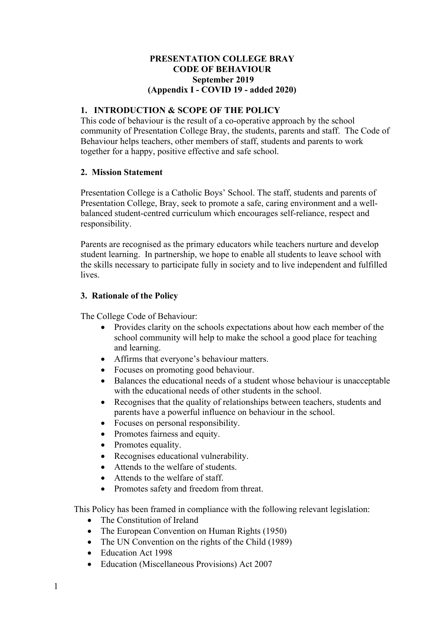### **PRESENTATION COLLEGE BRAY CODE OF BEHAVIOUR September 2019 (Appendix I - COVID 19 - added 2020)**

# **1. INTRODUCTION & SCOPE OF THE POLICY**

This code of behaviour is the result of a co-operative approach by the school community of Presentation College Bray, the students, parents and staff. The Code of Behaviour helps teachers, other members of staff, students and parents to work together for a happy, positive effective and safe school.

## **2. Mission Statement**

Presentation College is a Catholic Boys' School. The staff, students and parents of Presentation College, Bray, seek to promote a safe, caring environment and a wellbalanced student-centred curriculum which encourages self-reliance, respect and responsibility.

Parents are recognised as the primary educators while teachers nurture and develop student learning. In partnership, we hope to enable all students to leave school with the skills necessary to participate fully in society and to live independent and fulfilled lives.

### **3. Rationale of the Policy**

The College Code of Behaviour:

- Provides clarity on the schools expectations about how each member of the school community will help to make the school a good place for teaching and learning.
- Affirms that everyone's behaviour matters.
- Focuses on promoting good behaviour.
- Balances the educational needs of a student whose behaviour is unacceptable with the educational needs of other students in the school.
- Recognises that the quality of relationships between teachers, students and parents have a powerful influence on behaviour in the school.
- Focuses on personal responsibility.
- Promotes fairness and equity.
- Promotes equality.
- Recognises educational vulnerability.
- Attends to the welfare of students.
- Attends to the welfare of staff.
- Promotes safety and freedom from threat.

This Policy has been framed in compliance with the following relevant legislation:

- The Constitution of Ireland
- The European Convention on Human Rights (1950)
- The UN Convention on the rights of the Child (1989)
- Education Act 1998
- Education (Miscellaneous Provisions) Act 2007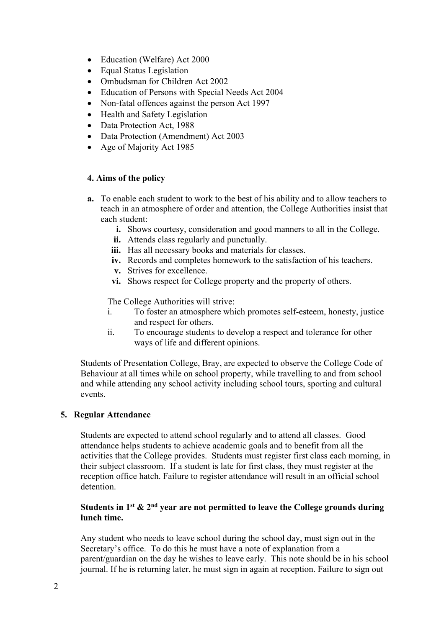- Education (Welfare) Act 2000
- Equal Status Legislation
- Ombudsman for Children Act 2002
- Education of Persons with Special Needs Act 2004
- Non-fatal offences against the person Act 1997
- Health and Safety Legislation
- Data Protection Act, 1988
- Data Protection (Amendment) Act 2003
- Age of Majority Act 1985

## **4. Aims of the policy**

- **a.** To enable each student to work to the best of his ability and to allow teachers to teach in an atmosphere of order and attention, the College Authorities insist that each student:
	- **i.** Shows courtesy, consideration and good manners to all in the College.
	- **ii.** Attends class regularly and punctually.
	- **iii.** Has all necessary books and materials for classes.
	- **iv.** Records and completes homework to the satisfaction of his teachers.
	- **v.** Strives for excellence.
	- **vi.** Shows respect for College property and the property of others.

The College Authorities will strive:

- i. To foster an atmosphere which promotes self-esteem, honesty, justice and respect for others.
- ii. To encourage students to develop a respect and tolerance for other ways of life and different opinions.

Students of Presentation College, Bray, are expected to observe the College Code of Behaviour at all times while on school property, while travelling to and from school and while attending any school activity including school tours, sporting and cultural events.

## **5. Regular Attendance**

Students are expected to attend school regularly and to attend all classes. Good attendance helps students to achieve academic goals and to benefit from all the activities that the College provides. Students must register first class each morning, in their subject classroom. If a student is late for first class, they must register at the reception office hatch. Failure to register attendance will result in an official school detention.

## **Students in 1st & 2nd year are not permitted to leave the College grounds during lunch time.**

Any student who needs to leave school during the school day, must sign out in the Secretary's office. To do this he must have a note of explanation from a parent/guardian on the day he wishes to leave early. This note should be in his school journal. If he is returning later, he must sign in again at reception. Failure to sign out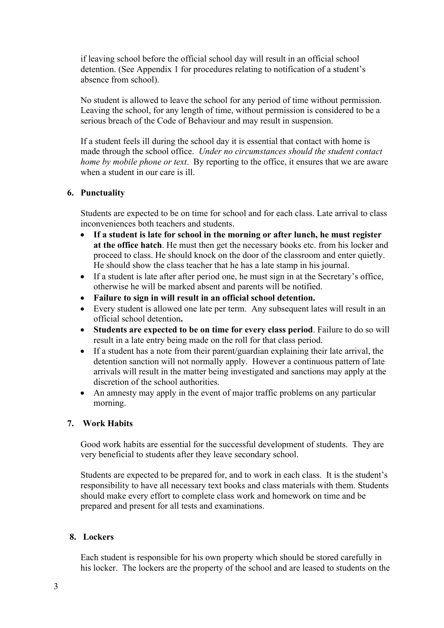if leaving school before the official school day will result in an official school detention. (See Appendix 1 for procedures relating to notification of a student's absence from school).

No student is allowed to leave the school for any period of time without permission. Leaving the school, for any length of time, without permission is considered to be a serious breach of the Code of Behaviour and may result in suspension.

If a student feels ill during the school day it is essential that contact with home is made through the school office. *Under no circumstances should the student contact home by mobile phone or text*. By reporting to the office, it ensures that we are aware when a student in our care is ill.

### **6. Punctuality**

Students are expected to be on time for school and for each class. Late arrival to class inconveniences both teachers and students.

- **If a student is late for school in the morning or after lunch, he must register at the office hatch**. He must then get the necessary books etc. from his locker and proceed to class. He should knock on the door of the classroom and enter quietly. He should show the class teacher that he has a late stamp in his journal.
- If a student is late after after period one, he must sign in at the Secretary's office, otherwise he will be marked absent and parents will be notified.
- **Failure to sign in will result in an official school detention.**
- Every student is allowed one late per term. Any subsequent lates will result in an official school detention**.**
- **Students are expected to be on time for every class period**. Failure to do so will result in a late entry being made on the roll for that class period.
- If a student has a note from their parent/guardian explaining their late arrival, the detention sanction will not normally apply. However a continuous pattern of late arrivals will result in the matter being investigated and sanctions may apply at the discretion of the school authorities.
- An amnesty may apply in the event of major traffic problems on any particular morning.

## **7. Work Habits**

Good work habits are essential for the successful development of students. They are very beneficial to students after they leave secondary school.

Students are expected to be prepared for, and to work in each class. It is the student's responsibility to have all necessary text books and class materials with them. Students should make every effort to complete class work and homework on time and be prepared and present for all tests and examinations.

## **8. Lockers**

Each student is responsible for his own property which should be stored carefully in his locker. The lockers are the property of the school and are leased to students on the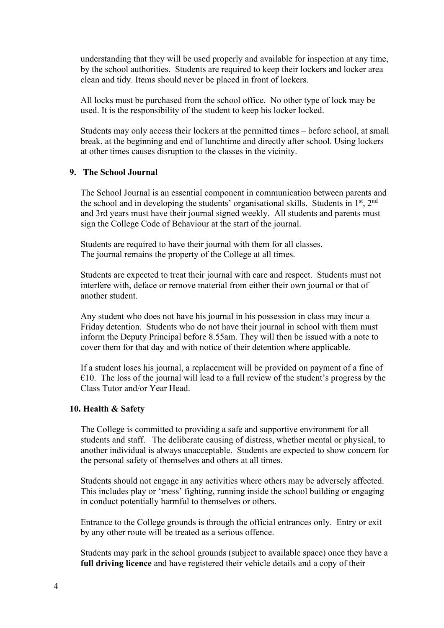understanding that they will be used properly and available for inspection at any time, by the school authorities. Students are required to keep their lockers and locker area clean and tidy. Items should never be placed in front of lockers.

All locks must be purchased from the school office. No other type of lock may be used. It is the responsibility of the student to keep his locker locked.

Students may only access their lockers at the permitted times – before school, at small break, at the beginning and end of lunchtime and directly after school. Using lockers at other times causes disruption to the classes in the vicinity.

#### **9. The School Journal**

The School Journal is an essential component in communication between parents and the school and in developing the students' organisational skills. Students in 1st, 2nd and 3rd years must have their journal signed weekly. All students and parents must sign the College Code of Behaviour at the start of the journal.

Students are required to have their journal with them for all classes. The journal remains the property of the College at all times.

Students are expected to treat their journal with care and respect. Students must not interfere with, deface or remove material from either their own journal or that of another student.

Any student who does not have his journal in his possession in class may incur a Friday detention. Students who do not have their journal in school with them must inform the Deputy Principal before 8.55am. They will then be issued with a note to cover them for that day and with notice of their detention where applicable.

If a student loses his journal, a replacement will be provided on payment of a fine of  $\epsilon$ 10. The loss of the journal will lead to a full review of the student's progress by the Class Tutor and/or Year Head.

#### **10. Health & Safety**

The College is committed to providing a safe and supportive environment for all students and staff. The deliberate causing of distress, whether mental or physical, to another individual is always unacceptable. Students are expected to show concern for the personal safety of themselves and others at all times.

Students should not engage in any activities where others may be adversely affected. This includes play or 'mess' fighting, running inside the school building or engaging in conduct potentially harmful to themselves or others.

Entrance to the College grounds is through the official entrances only. Entry or exit by any other route will be treated as a serious offence.

Students may park in the school grounds (subject to available space) once they have a **full driving licence** and have registered their vehicle details and a copy of their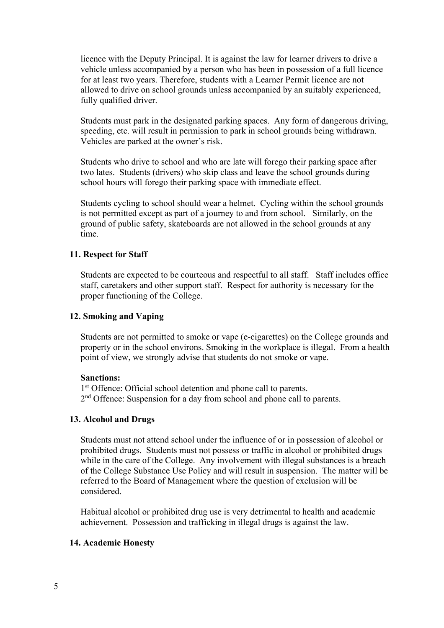licence with the Deputy Principal. It is against the law for learner drivers to drive a vehicle unless accompanied by a person who has been in possession of a full licence for at least two years. Therefore, students with a Learner Permit licence are not allowed to drive on school grounds unless accompanied by an suitably experienced, fully qualified driver.

Students must park in the designated parking spaces. Any form of dangerous driving, speeding, etc. will result in permission to park in school grounds being withdrawn. Vehicles are parked at the owner's risk.

Students who drive to school and who are late will forego their parking space after two lates. Students (drivers) who skip class and leave the school grounds during school hours will forego their parking space with immediate effect.

Students cycling to school should wear a helmet. Cycling within the school grounds is not permitted except as part of a journey to and from school. Similarly, on the ground of public safety, skateboards are not allowed in the school grounds at any time.

#### **11. Respect for Staff**

Students are expected to be courteous and respectful to all staff. Staff includes office staff, caretakers and other support staff. Respect for authority is necessary for the proper functioning of the College.

#### **12. Smoking and Vaping**

Students are not permitted to smoke or vape (e-cigarettes) on the College grounds and property or in the school environs. Smoking in the workplace is illegal. From a health point of view, we strongly advise that students do not smoke or vape.

#### **Sanctions:**

1<sup>st</sup> Offence: Official school detention and phone call to parents. 2<sup>nd</sup> Offence: Suspension for a day from school and phone call to parents.

#### **13. Alcohol and Drugs**

Students must not attend school under the influence of or in possession of alcohol or prohibited drugs. Students must not possess or traffic in alcohol or prohibited drugs while in the care of the College. Any involvement with illegal substances is a breach of the College Substance Use Policy and will result in suspension. The matter will be referred to the Board of Management where the question of exclusion will be considered.

Habitual alcohol or prohibited drug use is very detrimental to health and academic achievement. Possession and trafficking in illegal drugs is against the law.

#### **14. Academic Honesty**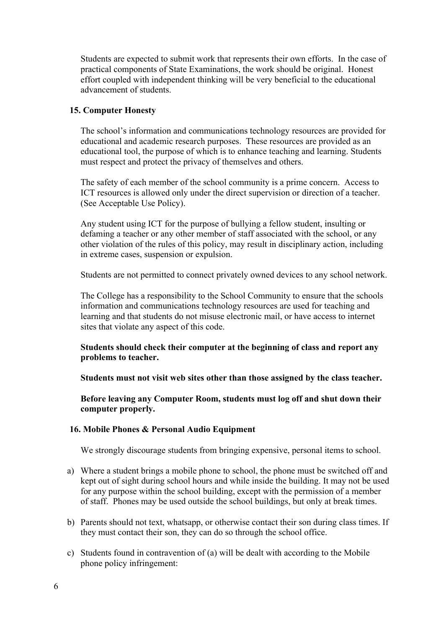Students are expected to submit work that represents their own efforts. In the case of practical components of State Examinations, the work should be original. Honest effort coupled with independent thinking will be very beneficial to the educational advancement of students.

## **15. Computer Honesty**

The school's information and communications technology resources are provided for educational and academic research purposes. These resources are provided as an educational tool, the purpose of which is to enhance teaching and learning. Students must respect and protect the privacy of themselves and others.

The safety of each member of the school community is a prime concern. Access to ICT resources is allowed only under the direct supervision or direction of a teacher. (See Acceptable Use Policy).

Any student using ICT for the purpose of bullying a fellow student, insulting or defaming a teacher or any other member of staff associated with the school, or any other violation of the rules of this policy, may result in disciplinary action, including in extreme cases, suspension or expulsion.

Students are not permitted to connect privately owned devices to any school network.

The College has a responsibility to the School Community to ensure that the schools information and communications technology resources are used for teaching and learning and that students do not misuse electronic mail, or have access to internet sites that violate any aspect of this code.

**Students should check their computer at the beginning of class and report any problems to teacher.**

**Students must not visit web sites other than those assigned by the class teacher.**

**Before leaving any Computer Room, students must log off and shut down their computer properly.**

## **16. Mobile Phones & Personal Audio Equipment**

We strongly discourage students from bringing expensive, personal items to school.

- a) Where a student brings a mobile phone to school, the phone must be switched off and kept out of sight during school hours and while inside the building. It may not be used for any purpose within the school building, except with the permission of a member of staff. Phones may be used outside the school buildings, but only at break times.
- b) Parents should not text, whatsapp, or otherwise contact their son during class times. If they must contact their son, they can do so through the school office.
- c) Students found in contravention of (a) will be dealt with according to the Mobile phone policy infringement: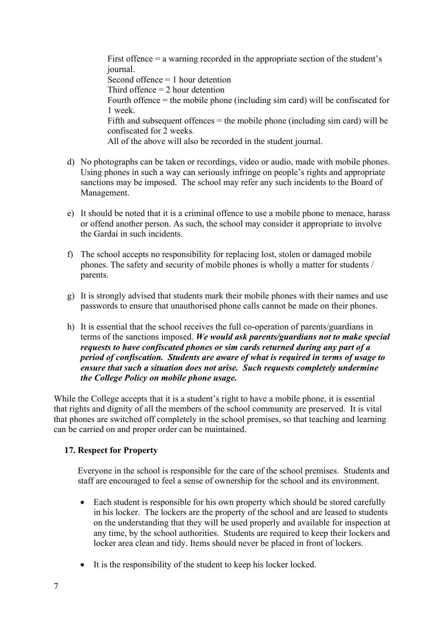First offence = a warning recorded in the appropriate section of the student's journal. Second offence = 1 hour detention Third offence  $= 2$  hour detention Fourth offence = the mobile phone (including sim card) will be confiscated for 1 week. Fifth and subsequent offences  $=$  the mobile phone (including sim card) will be confiscated for 2 weeks. All of the above will also be recorded in the student journal.

- d) No photographs can be taken or recordings, video or audio, made with mobile phones. Using phones in such a way can seriously infringe on people's rights and appropriate sanctions may be imposed. The school may refer any such incidents to the Board of Management.
- e) It should be noted that it is a criminal offence to use a mobile phone to menace, harass or offend another person. As such, the school may consider it appropriate to involve the Gardaí in such incidents.
- f) The school accepts no responsibility for replacing lost, stolen or damaged mobile phones. The safety and security of mobile phones is wholly a matter for students / parents.
- g) It is strongly advised that students mark their mobile phones with their names and use passwords to ensure that unauthorised phone calls cannot be made on their phones.
- h) It is essential that the school receives the full co-operation of parents/guardians in terms of the sanctions imposed. *We would ask parents/guardians not to make special requests to have confiscated phones or sim cards returned during any part of a period of confiscation. Students are aware of what is required in terms of usage to ensure that such a situation does not arise. Such requests completely undermine the College Policy on mobile phone usage.*

While the College accepts that it is a student's right to have a mobile phone, it is essential that rights and dignity of all the members of the school community are preserved. It is vital that phones are switched off completely in the school premises, so that teaching and learning can be carried on and proper order can be maintained.

## **17. Respect for Property**

Everyone in the school is responsible for the care of the school premises. Students and staff are encouraged to feel a sense of ownership for the school and its environment.

- Each student is responsible for his own property which should be stored carefully in his locker. The lockers are the property of the school and are leased to students on the understanding that they will be used properly and available for inspection at any time, by the school authorities. Students are required to keep their lockers and locker area clean and tidy. Items should never be placed in front of lockers.
- It is the responsibility of the student to keep his locker locked.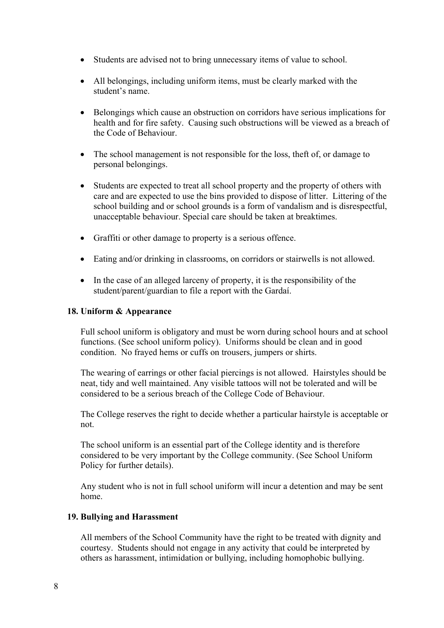- Students are advised not to bring unnecessary items of value to school.
- All belongings, including uniform items, must be clearly marked with the student's name.
- Belongings which cause an obstruction on corridors have serious implications for health and for fire safety. Causing such obstructions will be viewed as a breach of the Code of Behaviour.
- The school management is not responsible for the loss, theft of, or damage to personal belongings.
- Students are expected to treat all school property and the property of others with care and are expected to use the bins provided to dispose of litter. Littering of the school building and or school grounds is a form of vandalism and is disrespectful, unacceptable behaviour. Special care should be taken at breaktimes.
- Graffiti or other damage to property is a serious offence.
- Eating and/or drinking in classrooms, on corridors or stairwells is not allowed.
- In the case of an alleged larceny of property, it is the responsibility of the student/parent/guardian to file a report with the Gardaí.

#### **18. Uniform & Appearance**

Full school uniform is obligatory and must be worn during school hours and at school functions. (See school uniform policy). Uniforms should be clean and in good condition. No frayed hems or cuffs on trousers, jumpers or shirts.

The wearing of earrings or other facial piercings is not allowed. Hairstyles should be neat, tidy and well maintained. Any visible tattoos will not be tolerated and will be considered to be a serious breach of the College Code of Behaviour.

The College reserves the right to decide whether a particular hairstyle is acceptable or not.

The school uniform is an essential part of the College identity and is therefore considered to be very important by the College community. (See School Uniform Policy for further details).

Any student who is not in full school uniform will incur a detention and may be sent home.

#### **19. Bullying and Harassment**

All members of the School Community have the right to be treated with dignity and courtesy. Students should not engage in any activity that could be interpreted by others as harassment, intimidation or bullying, including homophobic bullying.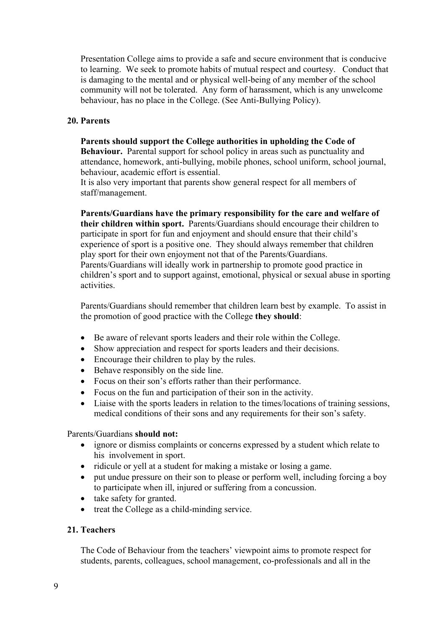Presentation College aims to provide a safe and secure environment that is conducive to learning. We seek to promote habits of mutual respect and courtesy. Conduct that is damaging to the mental and or physical well-being of any member of the school community will not be tolerated. Any form of harassment, which is any unwelcome behaviour, has no place in the College. (See Anti-Bullying Policy).

### **20. Parents**

#### **Parents should support the College authorities in upholding the Code of**

**Behaviour.** Parental support for school policy in areas such as punctuality and attendance, homework, anti-bullying, mobile phones, school uniform, school journal, behaviour, academic effort is essential.

It is also very important that parents show general respect for all members of staff/management.

**Parents/Guardians have the primary responsibility for the care and welfare of their children within sport.** Parents/Guardians should encourage their children to participate in sport for fun and enjoyment and should ensure that their child's experience of sport is a positive one. They should always remember that children play sport for their own enjoyment not that of the Parents/Guardians. Parents/Guardians will ideally work in partnership to promote good practice in children's sport and to support against, emotional, physical or sexual abuse in sporting activities.

Parents/Guardians should remember that children learn best by example. To assist in the promotion of good practice with the College **they should**:

- Be aware of relevant sports leaders and their role within the College.
- Show appreciation and respect for sports leaders and their decisions.
- Encourage their children to play by the rules.
- Behave responsibly on the side line.
- Focus on their son's efforts rather than their performance.
- Focus on the fun and participation of their son in the activity.
- Liaise with the sports leaders in relation to the times/locations of training sessions, medical conditions of their sons and any requirements for their son's safety.

#### Parents/Guardians **should not:**

- ignore or dismiss complaints or concerns expressed by a student which relate to his involvement in sport.
- ridicule or yell at a student for making a mistake or losing a game.
- put undue pressure on their son to please or perform well, including forcing a boy to participate when ill, injured or suffering from a concussion.
- take safety for granted.
- treat the College as a child-minding service.

## **21. Teachers**

The Code of Behaviour from the teachers' viewpoint aims to promote respect for students, parents, colleagues, school management, co-professionals and all in the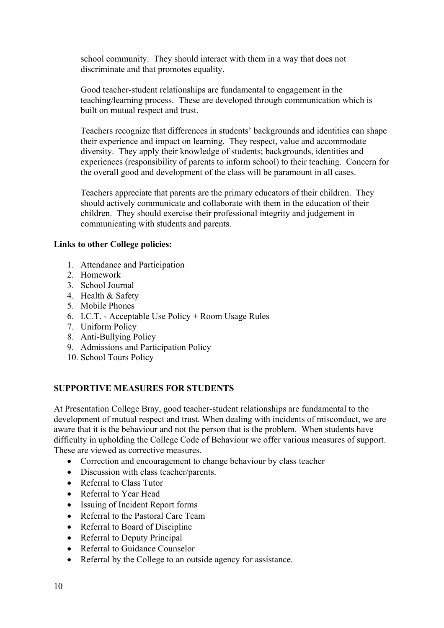school community. They should interact with them in a way that does not discriminate and that promotes equality.

Good teacher-student relationships are fundamental to engagement in the teaching/learning process. These are developed through communication which is built on mutual respect and trust.

Teachers recognize that differences in students' backgrounds and identities can shape their experience and impact on learning. They respect, value and accommodate diversity. They apply their knowledge of students; backgrounds, identities and experiences (responsibility of parents to inform school) to their teaching. Concern for the overall good and development of the class will be paramount in all cases.

Teachers appreciate that parents are the primary educators of their children. They should actively communicate and collaborate with them in the education of their children. They should exercise their professional integrity and judgement in communicating with students and parents.

### **Links to other College policies:**

- 1. Attendance and Participation
- 2. Homework
- 3. School Journal
- 4. Health & Safety
- 5. Mobile Phones
- 6. I.C.T. Acceptable Use Policy + Room Usage Rules
- 7. Uniform Policy
- 8. Anti-Bullying Policy
- 9. Admissions and Participation Policy
- 10. School Tours Policy

## **SUPPORTIVE MEASURES FOR STUDENTS**

At Presentation College Bray, good teacher-student relationships are fundamental to the development of mutual respect and trust. When dealing with incidents of misconduct, we are aware that it is the behaviour and not the person that is the problem. When students have difficulty in upholding the College Code of Behaviour we offer various measures of support. These are viewed as corrective measures.

- Correction and encouragement to change behaviour by class teacher
- Discussion with class teacher/parents.
- Referral to Class Tutor
- Referral to Year Head
- Issuing of Incident Report forms
- Referral to the Pastoral Care Team
- Referral to Board of Discipline
- Referral to Deputy Principal
- Referral to Guidance Counselor
- Referral by the College to an outside agency for assistance.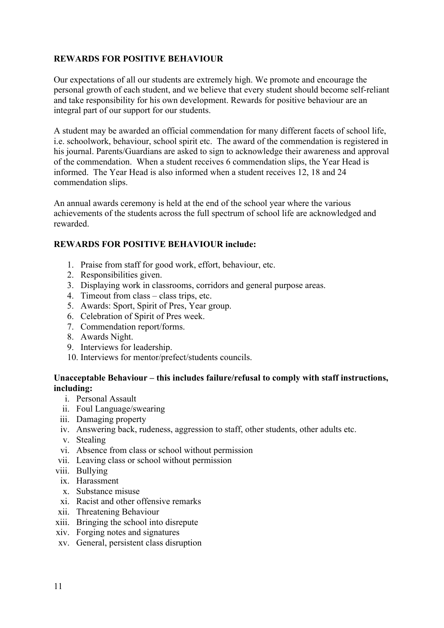# **REWARDS FOR POSITIVE BEHAVIOUR**

Our expectations of all our students are extremely high. We promote and encourage the personal growth of each student, and we believe that every student should become self-reliant and take responsibility for his own development. Rewards for positive behaviour are an integral part of our support for our students.

A student may be awarded an official commendation for many different facets of school life, i.e. schoolwork, behaviour, school spirit etc. The award of the commendation is registered in his journal. Parents/Guardians are asked to sign to acknowledge their awareness and approval of the commendation. When a student receives 6 commendation slips, the Year Head is informed. The Year Head is also informed when a student receives 12, 18 and 24 commendation slips.

An annual awards ceremony is held at the end of the school year where the various achievements of the students across the full spectrum of school life are acknowledged and rewarded.

## **REWARDS FOR POSITIVE BEHAVIOUR include:**

- 1. Praise from staff for good work, effort, behaviour, etc.
- 2. Responsibilities given.
- 3. Displaying work in classrooms, corridors and general purpose areas.
- 4. Timeout from class class trips, etc.
- 5. Awards: Sport, Spirit of Pres, Year group.
- 6. Celebration of Spirit of Pres week.
- 7. Commendation report/forms.
- 8. Awards Night.
- 9. Interviews for leadership.
- 10. Interviews for mentor/prefect/students councils.

## **Unacceptable Behaviour – this includes failure/refusal to comply with staff instructions, including:**

- i. Personal Assault
- ii. Foul Language/swearing
- iii. Damaging property
- iv. Answering back, rudeness, aggression to staff, other students, other adults etc.
- v. Stealing
- vi. Absence from class or school without permission
- vii. Leaving class or school without permission
- viii. Bullying
	- ix. Harassment
	- x. Substance misuse
	- xi. Racist and other offensive remarks
- xii. Threatening Behaviour
- xiii. Bringing the school into disrepute
- xiv. Forging notes and signatures
- xv. General, persistent class disruption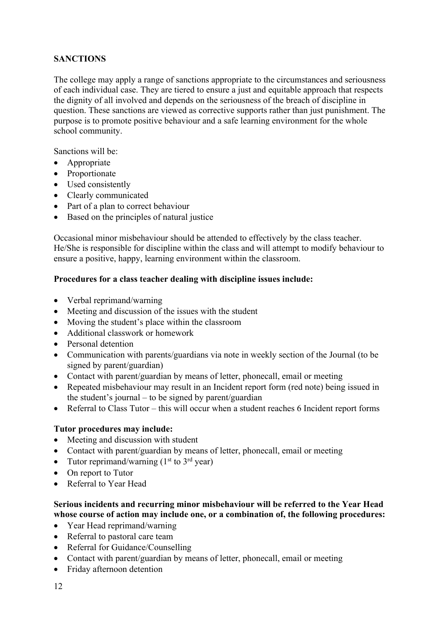# **SANCTIONS**

The college may apply a range of sanctions appropriate to the circumstances and seriousness of each individual case. They are tiered to ensure a just and equitable approach that respects the dignity of all involved and depends on the seriousness of the breach of discipline in question. These sanctions are viewed as corrective supports rather than just punishment. The purpose is to promote positive behaviour and a safe learning environment for the whole school community.

Sanctions will be:

- Appropriate
- Proportionate
- Used consistently
- Clearly communicated
- Part of a plan to correct behaviour
- Based on the principles of natural justice

Occasional minor misbehaviour should be attended to effectively by the class teacher. He/She is responsible for discipline within the class and will attempt to modify behaviour to ensure a positive, happy, learning environment within the classroom.

### **Procedures for a class teacher dealing with discipline issues include:**

- Verbal reprimand/warning
- Meeting and discussion of the issues with the student
- Moving the student's place within the classroom
- Additional classwork or homework
- Personal detention
- Communication with parents/guardians via note in weekly section of the Journal (to be signed by parent/guardian)
- Contact with parent/guardian by means of letter, phonecall, email or meeting
- Repeated misbehaviour may result in an Incident report form (red note) being issued in the student's journal – to be signed by parent/guardian
- Referral to Class Tutor this will occur when a student reaches 6 Incident report forms

#### **Tutor procedures may include:**

- Meeting and discussion with student
- Contact with parent/guardian by means of letter, phonecall, email or meeting
- Tutor reprimand/warning  $(1<sup>st</sup>$  to  $3<sup>rd</sup>$  year)
- On report to Tutor
- Referral to Year Head

### **Serious incidents and recurring minor misbehaviour will be referred to the Year Head whose course of action may include one, or a combination of, the following procedures:**

- Year Head reprimand/warning
- Referral to pastoral care team
- Referral for Guidance/Counselling
- Contact with parent/guardian by means of letter, phonecall, email or meeting
- Friday afternoon detention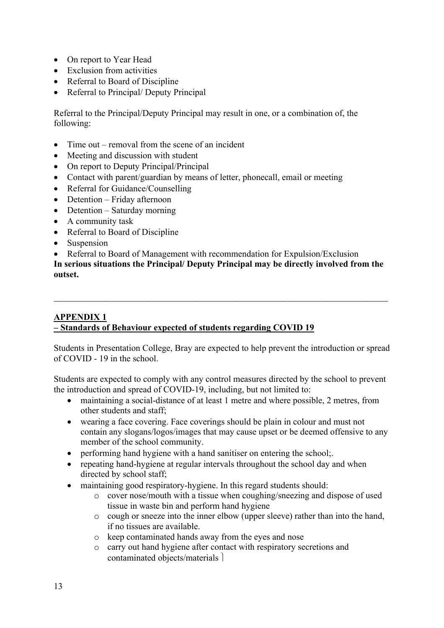- On report to Year Head
- Exclusion from activities
- Referral to Board of Discipline
- Referral to Principal/ Deputy Principal

Referral to the Principal/Deputy Principal may result in one, or a combination of, the following:

- Time out removal from the scene of an incident
- Meeting and discussion with student
- On report to Deputy Principal/Principal
- Contact with parent/guardian by means of letter, phonecall, email or meeting
- Referral for Guidance/Counselling
- Detention Friday afternoon
- Detention Saturday morning
- A community task
- Referral to Board of Discipline
- Suspension
- Referral to Board of Management with recommendation for Expulsion/Exclusion

**In serious situations the Principal/ Deputy Principal may be directly involved from the outset.**

### **APPENDIX 1 – Standards of Behaviour expected of students regarding COVID 19**

Students in Presentation College, Bray are expected to help prevent the introduction or spread of COVID - 19 in the school.

Students are expected to comply with any control measures directed by the school to prevent the introduction and spread of COVID-19, including, but not limited to:

- maintaining a social-distance of at least 1 metre and where possible, 2 metres, from other students and staff;
- wearing a face covering. Face coverings should be plain in colour and must not contain any slogans/logos/images that may cause upset or be deemed offensive to any member of the school community.
- performing hand hygiene with a hand sanitiser on entering the school;
- repeating hand-hygiene at regular intervals throughout the school day and when directed by school staff;
- maintaining good respiratory-hygiene. In this regard students should:
	- o cover nose/mouth with a tissue when coughing/sneezing and dispose of used tissue in waste bin and perform hand hygiene
	- o cough or sneeze into the inner elbow (upper sleeve) rather than into the hand, if no tissues are available.
	- o keep contaminated hands away from the eyes and nose
	- o carry out hand hygiene after contact with respiratory secretions and contaminated objects/materials  $\vert$